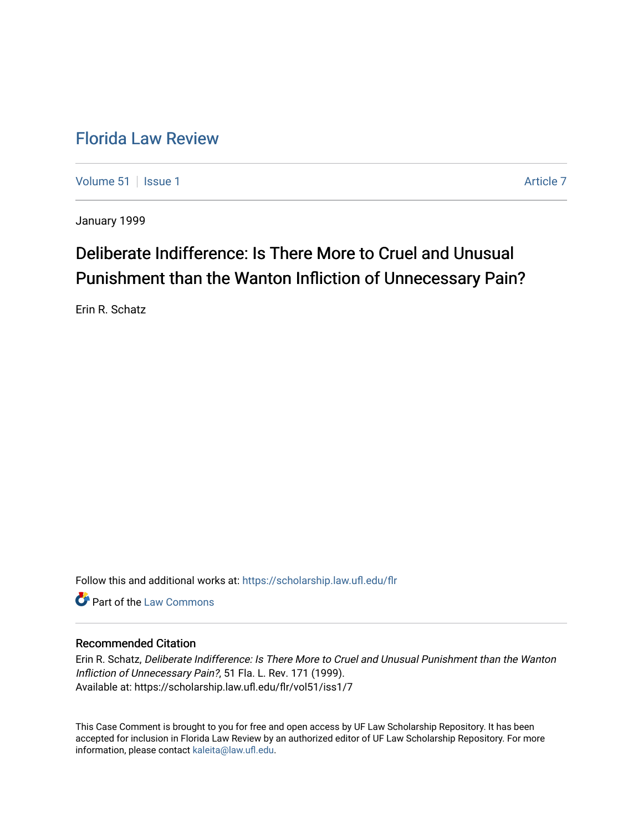## [Florida Law Review](https://scholarship.law.ufl.edu/flr)

[Volume 51](https://scholarship.law.ufl.edu/flr/vol51) | [Issue 1](https://scholarship.law.ufl.edu/flr/vol51/iss1) Article 7

January 1999

# Deliberate Indifference: Is There More to Cruel and Unusual Punishment than the Wanton Infliction of Unnecessary Pain?

Erin R. Schatz

Follow this and additional works at: [https://scholarship.law.ufl.edu/flr](https://scholarship.law.ufl.edu/flr?utm_source=scholarship.law.ufl.edu%2Fflr%2Fvol51%2Fiss1%2F7&utm_medium=PDF&utm_campaign=PDFCoverPages)

**C** Part of the [Law Commons](http://network.bepress.com/hgg/discipline/578?utm_source=scholarship.law.ufl.edu%2Fflr%2Fvol51%2Fiss1%2F7&utm_medium=PDF&utm_campaign=PDFCoverPages)

## Recommended Citation

Erin R. Schatz, Deliberate Indifference: Is There More to Cruel and Unusual Punishment than the Wanton Infliction of Unnecessary Pain?, 51 Fla. L. Rev. 171 (1999). Available at: https://scholarship.law.ufl.edu/flr/vol51/iss1/7

This Case Comment is brought to you for free and open access by UF Law Scholarship Repository. It has been accepted for inclusion in Florida Law Review by an authorized editor of UF Law Scholarship Repository. For more information, please contact [kaleita@law.ufl.edu.](mailto:kaleita@law.ufl.edu)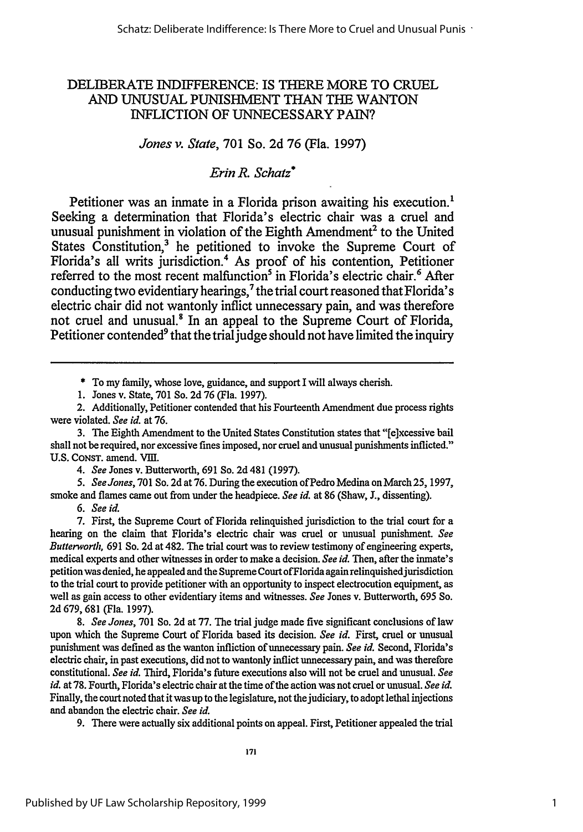## DELIBERATE INDIFFERENCE: IS THERE MORE TO CRUEL AND UNUSUAL PUNISHMENT THAN THE WANTON INFLICTION OF UNNECESSARY PAIN?

## *Jones v. State,* **701** So. **2d 76** (Fla. **1997)**

## *Erin R.* **Schatz\***

Petitioner was an inmate in a Florida prison awaiting his execution.<sup>1</sup> Seeking a determination that Florida's electric chair was a cruel and unusual punishment in violation of the Eighth Amendment<sup>2</sup> to the United States Constitution,<sup>3</sup> he petitioned to invoke the Supreme Court of Florida's all writs jurisdiction.4 As proof of his contention, Petitioner referred to the most recent malfunction<sup>5</sup> in Florida's electric chair.<sup>6</sup> After conducting two evidentiary hearings,<sup>7</sup> the trial court reasoned that Florida's electric chair did not wantonly inflict unnecessary pain, and was therefore not cruel and unusual.<sup>8</sup> In an appeal to the Supreme Court of Florida, Petitioner contended<sup>9</sup> that the trial judge should not have limited the inquiry

\* To my family, whose love, guidance, and support I will always cherish.

1. Jones v. State, 701 So. 2d 76 (Fla. 1997).

2. Additionally, Petitioner contended that his Fourteenth Amendment due process rights were violated. *See id.* at 76.

**3. The** Eighth Amendment to the United States Constitution states that "[e]xcessive bail shall not be required, nor excessive fines imposed, nor cruel and unusual punishments inflicted." U.S. CONST. amend. VIII.

*4. See* Jones v. Butterworth, 691 So. 2d 481 (1997).

*5. See Jones,* 701 So. 2d at 76. During the execution ofPedro Medina on March 25, 1997, smoke and flames came out from under the headpiece. *See id.* at 86 (Shaw, **J.,** dissenting).

*6. See id.*

7. First, the Supreme Court of Florida relinquished jurisdiction to the trial court for a hearing on the claim that Florida's electric chair was cruel or unusual punishment. *See Butterworth,* 691 So. 2d at 482. The trial court was to review testimony of engineering experts, medical experts and other witnesses in order to make a decision. *See id.* Then, after the inmate's petition was denied, he appealed and the Supreme Court ofFlorida again relinquished jurisdiction to the trial court to provide petitioner with an opportunity to inspect electrocution equipment, as well as gain access to other evidentiary items and witnesses. *See* Jones v. Butterworth, 695 So. 2d 679, 681 (Fla. 1997).

*8. See Jones,* 701 So. 2d at 77. The trial judge made five significant conclusions of law upon which the Supreme Court of Florida based its decision. *See id.* First, cruel or unusual punishment was defined as the wanton infliction of unnecessary pain. *See id.* Second, Florida's electric chair, in past executions, did not to wantonly inflict unnecessary pain, and was therefore constitutional. *See id.* Third, Florida's future executions also will not be cruel and unusual. *See id.* at 78. Fourth, Florida's electric chair at the time of the action was not cruel or unusual. *See id.* Finally, the court noted that it was up to the legislature, not the judiciary, to adopt lethal injections and abandon the electric chair. *See id.*

9. There were actually six additional points on appeal. First, Petitioner appealed the trial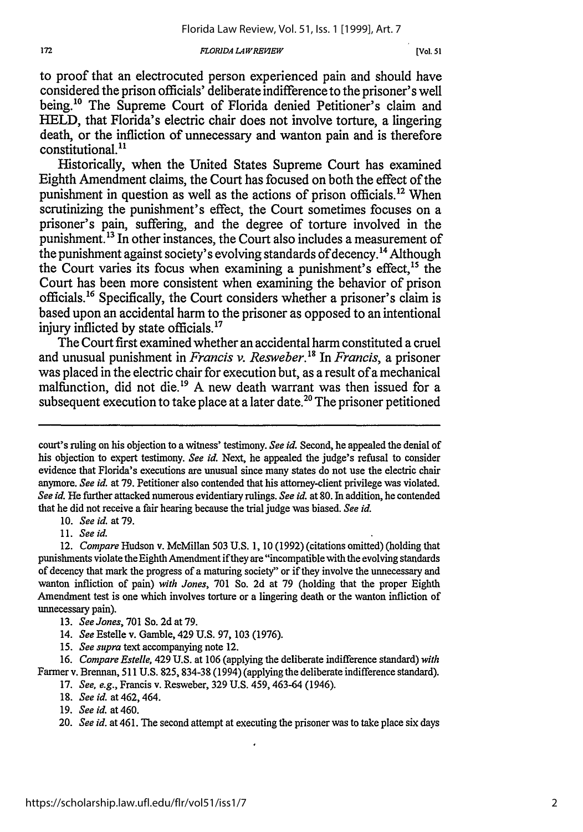#### *FLORIDA LAW REVIEW*

to proof that an electrocuted person experienced pain and should have considered the prison officials' deliberate indifference to the prisoner's well being.<sup>10</sup> The Supreme Court of Florida denied Petitioner's claim and **HELD,** that Florida's electric chair does not involve torture, a lingering death, or the infliction of unnecessary and wanton pain and is therefore constitutional.<sup>11</sup>

Historically, when the United States Supreme Court has examined Eighth Amendment claims, the Court has focused on both the effect of the punishment in question as well as the actions of prison officials.<sup>12</sup> When scrutinizing the punishment's effect, the Court sometimes focuses on a prisoner's pain, suffering, and the degree of torture involved in the punishment.<sup>13</sup> In other instances, the Court also includes a measurement of the punishment against society's evolving standards of decency.<sup>14</sup> Although the Court varies its focus when examining a punishment's effect,<sup>15</sup> the Court has been more consistent when examining the behavior of prison officials. 6 Specifically, the Court considers whether a prisoner's claim is based upon an accidental harm to the prisoner as opposed to an intentional injury inflicted by state officials.<sup>17</sup>

The Court first examined whether an accidental harm constituted a cruel and unusual punishment in *Francis v. Resweber.'8* In *Francis,* a prisoner was placed in the electric chair for execution but, as a result of a mechanical malfunction, did not die.<sup>19</sup> A new death warrant was then issued for a subsequent execution to take place at a later date.<sup>20</sup> The prisoner petitioned

10. *Seeid.* at79.

11. *See id.*

- 13. *See Jones,* 701 So. 2dat 79.
- 14. *See* Estelle v. Gamble, 429 U.S. 97, 103 (1976).
- 15. *See supra* text accompanying note 12.

16. *Compare Estelle,* 429 U.S. at 106 (applying the deliberate indifference standard) *with* Farmer v. Brennan, 511 U.S. 825, **834-38** (1994) (applying the deliberate indifference standard).

- 17. *See, e.g.,* Francis v. Resweber, 329 U.S. 459, 463-64 (1946).
- *18. See id.* at 462, 464.
- 19. *Seeid.* at460.

court's ruling on his objection to a witness' testimony. *See id.* Second, he appealed the denial of his objection to expert testimony. *See id.* Next, he appealed the judge's refusal to consider evidence that Florida's executions are unusual since many states do not use the electric chair anymore. *See id.* at 79. Petitioner also contended that his attorney-client privilege was violated. *See id.* He further attacked numerous evidentiary rulings. *See id.* at **80.** In addition, he contended that he did not receive a fair hearing because the trial judge was biased. *See id.*

<sup>12.</sup> *Compare* Hudson v. McMillan 503 U.S. 1, 10 (1992) (citations omitted) (holding that punishments violate the Eighth Amendment if they are "incompatible with the evolving standards of decency that mark the progress of a maturing society" or if they involve the unnecessary and wanton infliction of pain) *with Jones,* 701 So. 2d at **79** (holding that the proper Eighth Amendment test is one which involves torture or a lingering death or the wanton infliction of unnecessary pain).

<sup>20.</sup> *See id.* at 461. The second attempt at executing the prisoner was to take place six days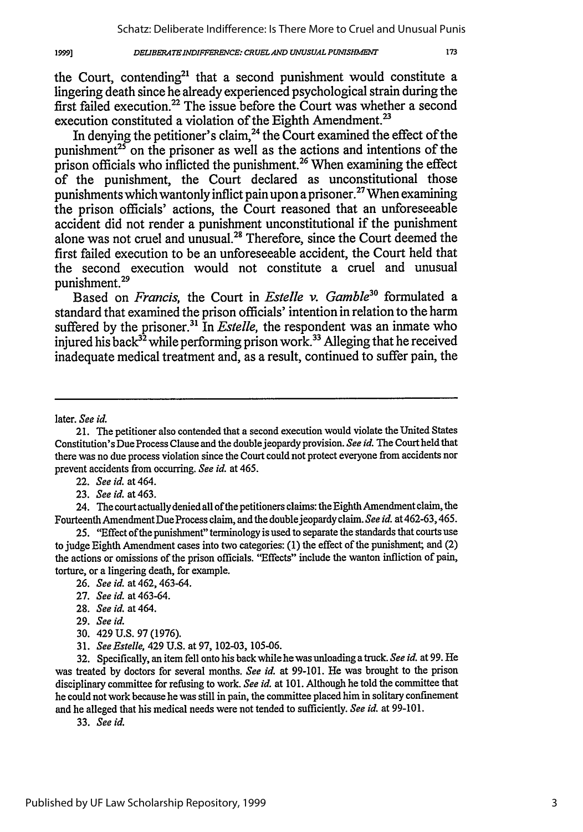#### *DELIBERATE INDIFFERENCE: CRUEL AND UNUSUAL PUNISHMENT*

the Court, contending<sup>21</sup> that a second punishment would constitute a lingering death since he already experienced psychological strain during the first failed execution.<sup>22</sup> The issue before the Court was whether a second execution constituted a violation of the Eighth Amendment.<sup>23</sup>

In denying the petitioner's claim,  $^{24}$  the Court examined the effect of the punishment<sup>25</sup> on the prisoner as well as the actions and intentions of the prison officials who inflicted the punishment.<sup>26</sup> When examining the effect of the punishment, the Court declared as unconstitutional those punishments which wantonly inflict pain upon a prisoner.<sup>27</sup> When examining the prison officials' actions, the Court reasoned that an unforeseeable accident did not render a punishment unconstitutional if the punishment alone was not cruel and unusual.28 Therefore, since the Court deemed the first failed execution to be an unforeseeable accident, the Court held that the second execution would not constitute a cruel and unusual punishment.29

Based on *Francis,* the Court in *Estelle v. Gamble30* formulated a standard that examined the prison officials' intention in relation to the harm suffered by the prisoner.<sup>31</sup> In *Estelle*, the respondent was an inmate who injured his back<sup>32</sup> while performing prison work.<sup>33</sup> Alleging that he received inadequate medical treatment and, as a result, continued to suffer pain, the

later. *See id.*

1999]

22. *See id.* at 464.

*23. See id.* at 463.

24. The court actually denied all of the petitioners claims: the Eighth Amendment claim, the Fourteenth Amendment Due Process claim, and the double jeopardy claim. *See id.* at 462-63,465.

25. "Effect of the punishment" terminology is used to separate the standards that courts use to judge Eighth Amendment cases into two categories: (1) the effect of the punishment; and (2) the actions or omissions of the prison officials. "Effects" include the wanton infliction of pain, torture, or a lingering death, for example.

26. *See id.* at 462, 463-64.

- 27. *See id.* at 463-64.
- 28. *See id.* at 464.

30. 429 U.S. 97 (1976).

32. Specifically, an item fell onto his back while he was unloading a truck. *See id.* at 99. He was treated by doctors for several months. *See id.* at 99-101. He was brought to the prison disciplinary committee for refusing to work. *See id.* at 101. Although he told the committee that he could not work because he was still in pain, the committee placed him in solitary confinement and he alleged that his medical needs were not tended to sufficiently. *See id.* at 99-101.

33. *See id.*

<sup>21.</sup> The petitioner also contended that a second execution would violate the United States Constitution's Due Process Clause and the double jeopardy provision. *See id.* The Court held that there was no due process violation since the Court could not protect everyone from accidents nor prevent accidents from occurring. *See id.* at 465.

<sup>29.</sup> *See id.*

<sup>31.</sup> *See Estelle,* 429 U.S. at 97, 102-03, 105-06.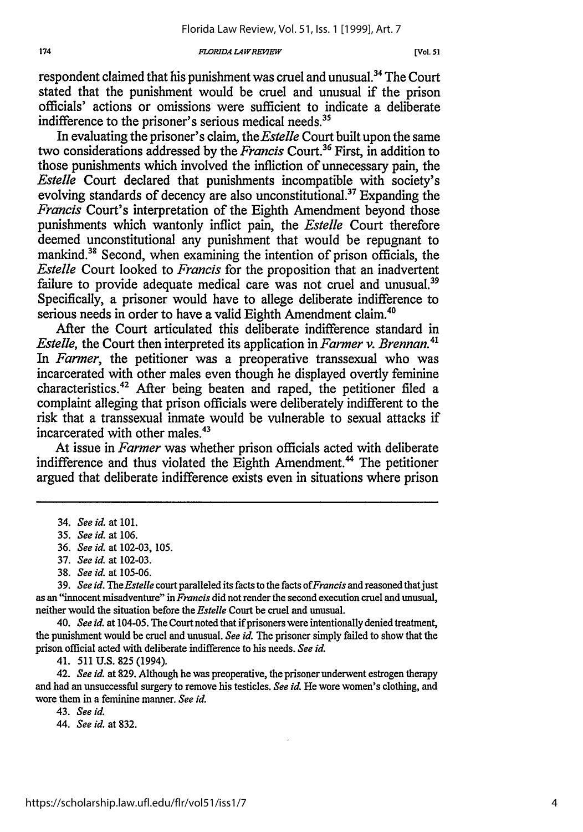#### *FLORIDA L4IRElEW[.*

respondent claimed that his punishment was cruel and unusual.<sup>34</sup> The Court stated that the punishment would be cruel and unusual if the prison officials' actions or omissions were sufficient to indicate a deliberate indifference to the prisoner's serious medical needs.<sup>35</sup>

In evaluating the prisoner's claim, *the Estelle* Court built upon the same two considerations addressed by the *Francis* Court.36 First, in addition to those punishments which involved the infliction of unnecessary pain, the *Estelle* Court declared that punishments incompatible with society's evolving standards of decency are also unconstitutional.<sup>37</sup> Expanding the *Francis* Court's interpretation of the Eighth Amendment beyond those punishments which wantonly inflict pain, the *Estelle* Court therefore deemed unconstitutional any punishment that would be repugnant to mankind.<sup>38</sup> Second, when examining the intention of prison officials, the *Estelle* Court looked to *Francis* for the proposition that an inadvertent failure to provide adequate medical care was not cruel and unusual.<sup>39</sup> Specifically, a prisoner would have to allege deliberate indifference to serious needs in order to have a valid Eighth Amendment claim.<sup>4</sup>

After the Court articulated this deliberate indifference standard in *Estelle,* the Court then interpreted its application in *Farmer v. Brennan*.<sup>41</sup> *In Farmer,* the petitioner was a preoperative transsexual who was incarcerated with other males even though he displayed overtly feminine characteristics.42 After being beaten and raped, the petitioner filed a complaint alleging that prison officials were deliberately indifferent to the risk that a transsexual inmate would be vulnerable to sexual attacks if incarcerated with other males.<sup>43</sup>

At issue in *Farmer* was whether prison officials acted with deliberate indifference and thus violated the Eighth Amendment.<sup>44</sup> The petitioner argued that deliberate indifference exists even in situations where prison

- 36. *See id.* at 102-03, 105.
- 37. *See id.* at 102-03.
- 38. *See id.* at 105-06.

**39.** *See id. TheEstelle* court paralleled its facts to the facts *ofFrancis* and reasoned thatjust as an "innocent misadventure" in *Francis* did not render the second execution cruel and unusual, neither would the situation before the *Estelle* Court be cruel and unusual.

*40. See id.* at 104-05. The Court noted that if prisoners were intentionally denied treatment, the punishment would be cruel and unusual. *See id.* The prisoner simply failed to show that the prison official acted with deliberate indifference to his needs. *See id.*

41. 511 U.S. 825 (1994).

42. *See id.* at 829. Although he was preoperative, the prisoner underwent estrogen therapy and had an unsuccessful surgery to remove his testicles. *See id.* He wore women's clothing, and wore them in a feminine manner. *See id.*

43. *See id.*

44. *See id.* at 832.

<sup>34.</sup> *See id.* at 101.

<sup>35.</sup> *See id.* at 106.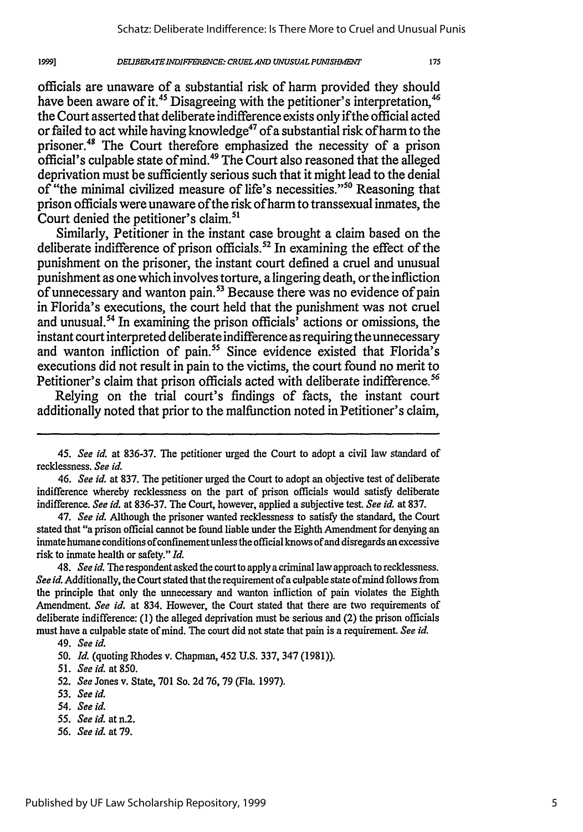#### *DEUIBERATEINDIFTERENCE: CRUELAND UNUSUAL PUNISHIMT*

officials are unaware of a substantial risk of harm provided they should have been aware of it.<sup>45</sup> Disagreeing with the petitioner's interpretation, <sup>46</sup> the Court asserted that deliberate indifference exists only if the official acted or failed to act while having knowledge<sup>47</sup> of a substantial risk of harm to the prisoner.<sup>48</sup> The Court therefore emphasized the necessity of a prison official's culpable state of mind.49 The Court also reasoned that the alleged deprivation must be sufficiently serious such that it might lead to the denial of "the minimal civilized measure of life's necessities."<sup>50</sup> Reasoning that prison officials were unaware of the risk of harm to transsexual inmates, the Court denied the petitioner's claim.<sup>51</sup>

Similarly, Petitioner in the instant case brought a claim based on the deliberate indifference of prison officials.<sup>52</sup> In examining the effect of the punishment on the prisoner, the instant court defined a cruel and unusual punishment as one which involves torture, a lingering death, or the infliction of unnecessary and wanton pain.<sup>53</sup> Because there was no evidence of pain in Florida's executions, the court held that the punishment was not cruel and unusual.<sup>54</sup> In examining the prison officials<sup> $\overline{\phantom{a}}$ </sup> actions or omissions, the instant court interpreted deliberate indifference as requiring the unnecessary and wanton infliction of pain.<sup>55</sup> Since evidence existed that Florida's executions did not result in pain to the victims, the court found no merit to Petitioner's claim that prison officials acted with deliberate indifference.<sup>56</sup>

Relying on the trial court's findings of facts, the instant court additionally noted that prior to the malfunction noted in Petitioner's claim,

*47. See id.* Although the prisoner wanted recklessness to satisfy the standard, the Court stated that "a prison official cannot be found liable under the Eighth Amendment for denying an inmate humane conditions of confinement unless the official knows of and disregards an excessive risk to inmate health or safety." *Id.*

48. *See id. The* respondent asked the court to apply a criminal law approach to recklessness. *See id.* Additionally, the Court stated that the requirement ofa culpable state of mind follows from the principle that only the unnecessary and wanton infliction of pain violates the Eighth Amendment. *See id.* at 834. However, the Court stated that there are two requirements of deliberate indifference: (1) the alleged deprivation must be serious and (2) the prison officials must have a culpable state of mind. The court did not state that pain is a requirement. *See id.*

19991

51. *See* id. at 850.

- 53. *See id.*
- *54. See id.*
- *55. See id.* at n.2.
- *56. See id.* at 79.

*<sup>45.</sup> See id.* at 836-37. The petitioner urged the Court to adopt a civil law standard of recklessness. *See id.*

*<sup>46.</sup> See id.* at 837. The petitioner urged the Court to adopt an objective test of deliberate indifference whereby recklessness on the part of prison officials would satisfy deliberate indifference. *See id.* at 836-37, The Court, however, applied a subjective test. *See id.* at 837.

<sup>49.</sup> *See id.*

*<sup>50.</sup> Id.* (quoting Rhodes v. Chapman, 452 U.S. 337, 347 (1981)).

*<sup>52.</sup> See* Jones v. State, 701 So. 2d 76, 79 (Fla. 1997).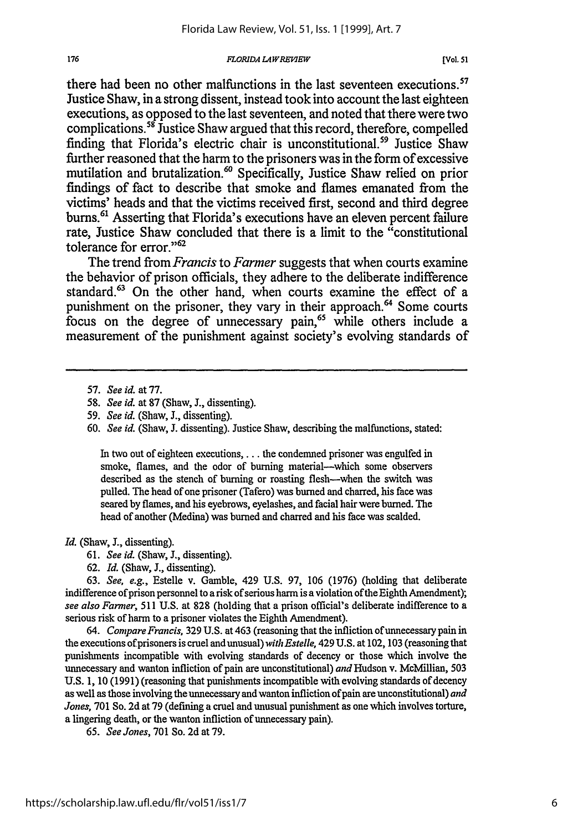#### **FLORIDA LAW REVIEW**

there had been no other malfunctions in the last seventeen executions.<sup>57</sup> Justice Shaw, in a strong dissent, instead took into account the last eighteen executions, as opposed to the last seventeen, and noted that there were two complications.<sup>58</sup> Justice Shaw argued that this record, therefore, compelled finding that Florida's electric chair is unconstitutional.<sup>59</sup> Justice Shaw further reasoned that the harm to the prisoners was in the form of excessive mutilation and brutalization.<sup>60</sup> Specifically, Justice Shaw relied on prior findings of fact to describe that smoke and flames emanated from the victims' heads and that the victims received first, second and third degree burns.<sup>61</sup> Asserting that Florida's executions have an eleven percent failure rate, Justice Shaw concluded that there is a limit to the "constitutional tolerance for error."<sup>62</sup>

The trend from *Francis* to *Farmer* suggests that when courts examine the behavior of prison officials, they adhere to the deliberate indifference standard.<sup>63</sup> On the other hand, when courts examine the effect of a punishment on the prisoner, they vary in their approach.<sup>64</sup> Some courts focus on the degree of unnecessary pain,<sup>65</sup> while others include a measurement of the punishment against society's evolving standards of

60. *See id.* (Shaw, **J.** dissenting). Justice Shaw, describing the malfunctions, stated:

In two out of eighteen executions, . . . the condemned prisoner was engulfed in smoke, flames, and the odor of burning material-which some observers described as the stench of burning or roasting flesh-when the switch was pulled. The head of one prisoner (Tafero) was burned and charred, his face was seared by flames, and his eyebrows, eyelashes, and facial hair were burned. The head of another (Medina) was burned and charred and his face was scalded.

#### *Id.* (Shaw, *3.,* dissenting).

- *61. See id.* (Shaw, **J.,** dissenting).
- 62. *Id.* (Shaw, **J.,** dissenting).

63. *See, e.g.,* Estelle v. Gamble, 429 U.S. 97, 106 (1976) (holding that deliberate indifference of prison personnel to a risk of serious harm is a violation of the Eighth Amendment); *see also Farmer,* 511 U.S. at 828 (holding that a prison official's deliberate indifference to a serious risk of harm to a prisoner violates the Eighth Amendment).

*64. Compare Francis,* 329 U.S. at 463 (reasoning that the infliction ofunnecessary pain in the executions ofprisoners is cruel and unusual) *with Estelle,* 429 U.S. at 102, 103 (reasoning that punishments incompatible with evolving standards of decency or those which involve the unnecessary and wanton infliction of pain are unconstitutional) *and* Hudson v. McMillian, 503 U.S. 1, 10 (1991) (reasoning that punishments incompatible with evolving standards of decency as well as those involving the unnecessary and wanton infliction of pain are unconstitutional) *and Jones,* 701 So. 2d at 79 (defining a cruel and unusual punishment as one which involves torture, a lingering death, or the wanton infliction of unnecessary pain).

65. *See Jones,* 701 So. 2d at 79.

<sup>57.</sup> *See id.* at 77.

*<sup>58.</sup> See id.* at 87 (Shaw, **J.,** dissenting).

*<sup>59.</sup> See id.* (Shaw, **J.,** dissenting).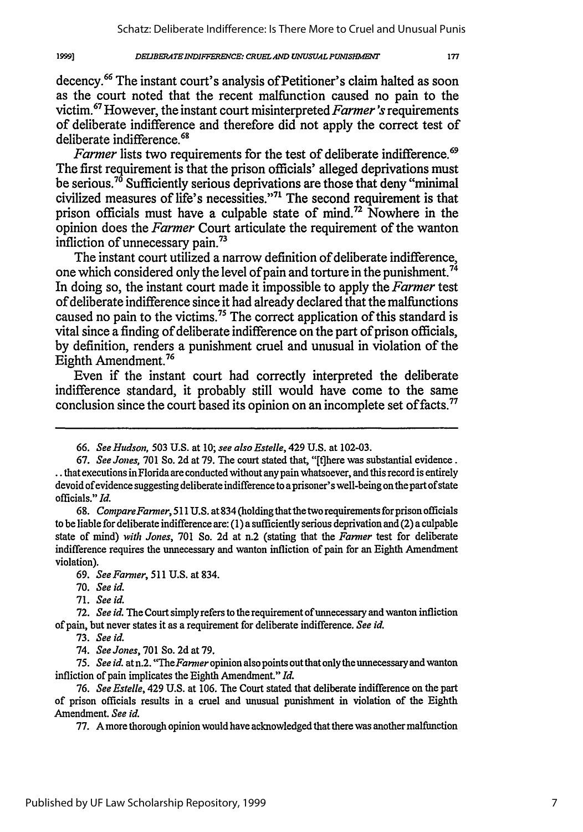#### *DELIBERATEINDIFFERECE: CRUEL AND UNUSUAL PUNUSRMET*

decency.<sup>66</sup> The instant court's analysis of Petitioner's claim halted as soon as the court noted that the recent malfunction caused no pain to the victim.67 However, the instant court misinterpreted *Farmer's* requirements of deliberate indifference and therefore did not apply the correct test of deliberate indifference. <sup>68</sup>

*Farmer* lists two requirements for the test of deliberate indifference.<sup>69</sup> The first requirement is that the prison officials' alleged deprivations must be serious.<sup>70</sup> Sufficiently serious deprivations are those that deny "minimal civilized measures of life's necessities."<sup>71</sup> The second requirement is that prison officials must have a culpable state of mind.<sup>72</sup> Nowhere in the opinion does the *Farmer* Court articulate the requirement of the wanton infliction of unnecessary pain.73

The instant court utilized a narrow definition of deliberate indifference, one which considered only the level of pain and torture in the punishment.<sup>74</sup> In doing so, the instant court made it impossible to apply the *Farmer* test of deliberate indifference since it had already declared that the malfunctions caused no pain to the victims.<sup>75</sup> The correct application of this standard is vital since a finding of deliberate indifference on the part of prison officials, by definition, renders a punishment cruel and unusual in violation of the Eighth Amendment.76

Even if the instant court had correctly interpreted the deliberate indifference standard, it probably still would have come to the same conclusion since the court based its opinion on an incomplete set of facts.<sup>77</sup>

68. *CompareFanmer,* 511 U.S. at 834 (holding thatthe two requirements forprison officials to be liable for deliberate indifference are: (1) a sufficiently serious deprivation and (2) a culpable state of mind) *with Jones,* 701 So. 2d at n.2 (stating that the *Farmer* test for deliberate indifference requires the unnecessary and wanton infliction of pain for an Eighth Amendment violation).

69. *SeeFarmer,* 511 U.S. at 834.

70. *See id.*

19991

71. *See id.*

72. *See id.* The Court simply refers to the requirement of unnecessary and wanton infliction of pain, but never states it as a requirement for deliberate indifference. *See id.*

73. *See id.*

74. *See Jones,* 701 So. 2d at 79.

*75. See id.* at n.2. *"TheFarmer* opinion also points out that only the unnecessary and wanton infliction of pain implicates the Eighth Amendment." *Id.*

77. A more thorough opinion would have acknowledged that there was another malfunction

*<sup>66.</sup> See Hudson,* 503 U.S. at 10; *see also Estelle,* 429 U.S. at 102-03.

<sup>67.</sup> *See Jones,* 701 So. 2d at 79. The court stated that, "[tihere was substantial evidence. that executions in Florida are conducted without any pain whatsoever, and this record is entirely devoid of evidence suggesting deliberate indifference to a prisoner's well-being on the part of state officials." *Id.*

<sup>76.</sup> *See Estelle,* 429 U.S. at 106. The Court stated that deliberate indifference on the part of prison officials results in a cruel and unusual punishment in violation of the Eighth Amendment. *See id.*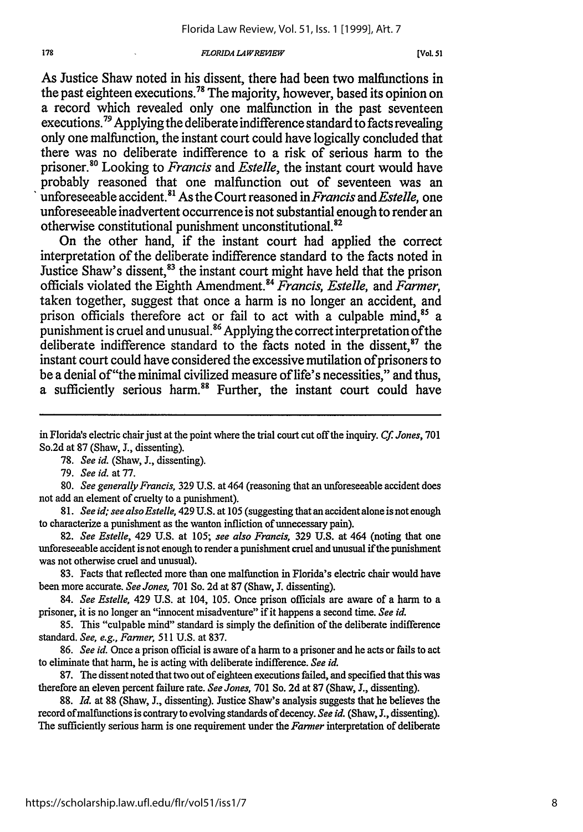#### *FLORIDA LAWREFWEW[*

As Justice Shaw noted in his dissent, there had been two malfunctions in the past eighteen executions.<sup>78</sup> The majority, however, based its opinion on a record which revealed only one malfunction in the past seventeen executions.<sup>79</sup> Applying the deliberate indifference standard to facts revealing only one malfunction, the instant court could have logically concluded that there was no deliberate indifference to a risk of serious harm to the prisoner.)8 Looking to *Francis* and *Estelle,* the instant court would have probably reasoned that one malfunction out of seventeen was an unforeseeable accident.8 " As the Court reasoned in *Francis and Estelle,* one unforeseeable inadvertent occurrence is not substantial enough to render an otherwise constitutional punishment unconstitutional.<sup>82</sup>

On the other hand, if the instant court had applied the correct interpretation of the deliberate indifference standard to the facts noted in Justice Shaw's dissent,<sup>83</sup> the instant court might have held that the prison officials violated the Eighth Amendment." *Francis, Estelle,* and *Farmer,* taken together, suggest that once a harm is no longer an accident, and prison officials therefore act or fail to act with a culpable mind.<sup>85</sup> a punishment is cruel and unusual.<sup>86</sup> Applying the correct interpretation of the deliberate indifference standard to the facts noted in the dissent, $87$  the instant court could have considered the excessive mutilation of prisoners to be a denial of"the minimal civilized measure of life's necessities," and thus, a sufficiently serious harm.<sup>88</sup> Further, the instant court could have

in Florida's electric chair just at the point where the trial court cut off the inquiry. *Cf Jones,* **701** So.2d at 87 (Shaw, J., dissenting).

78. *See id.* (Shaw, J., dissenting).

79. *See id.* at 77.

80. *See generally Francis,* 329 U.S. at 464 (reasoning that an unforeseeable accident does not add an element of cruelty to a punishment).

*81. See id; see also Estelle,* 429 U.S. at 105 (suggesting that an accident alone is not enough to characterize a punishment as the wanton infliction of unnecessary pain).

82. *See Estelle,* 429 U.S. at 105; *see also Francis,* 329 U.S. at 464 (noting that one unforeseeable accident is not enough to render a punishment cruel and unusual if the punishment was not otherwise cruel and unusual).

83. Facts that reflected more than one malfunction in Florida's electric chair would have been more accurate. *See Jones,* 701 So. 2d at 87 (Shaw, J. dissenting).

84. *See Estelle,* 429 U.S. at 104, 105. Once prison officials are aware of a harm to a prisoner, it is no longer an "innocent misadventure" if it happens a second time. *See id.*

85. This "culpable mind" standard is simply the definition of the deliberate indifference standard. *See, e.g., Farmer,* 511 U.S. at 837.

86. *See id.* Once a prison official is aware of a harm to a prisoner and he acts or fails to act to eliminate that harm, he is acting with deliberate indifference. *See id.*

87. The dissent noted that two out of eighteen executions failed, and specified that this was therefore an eleven percent failure rate. *See Jones,* 701 So. 2d at 87 (Shaw, **J.,** dissenting).

88. *Id.* at 88 (Shaw, **J.,** dissenting). Justice Shaw's analysis suggests that he believes the record of malfunctions is contrary to evolving standards of decency. *See id.* (Shaw, **J.,** dissenting). The sufficiently serious harm is one requirement under the *Farmer* interpretation of deliberate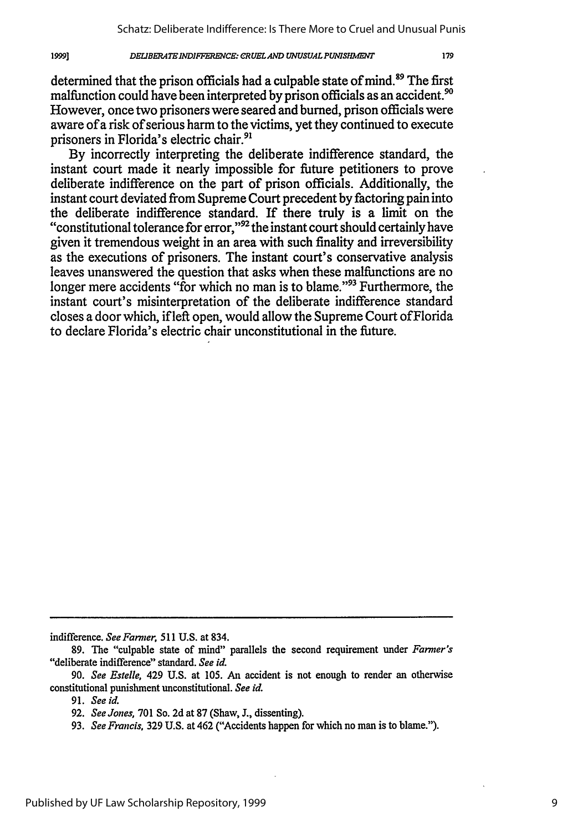#### *DEUBERATE INDIFFERENCE: CRUEL AND UNUSUAL PUNISHMENT*

determined that the prison officials had a culpable state of mind.<sup>89</sup> The first malfunction could have been interpreted by prison officials as an accident. $^{90}$ However, once two prisoners were seared and burned, prison officials were aware of a risk of serious harm to the victims, yet they continued to execute prisoners in Florida's electric chair.<sup>91</sup>

By incorrectly interpreting the deliberate indifference standard, the instant court made it nearly impossible for future petitioners to prove deliberate indifference on the part of prison officials. Additionally, the instant court deviated from Supreme Court precedent by factoring pain into the deliberate indifference standard. If there truly is a limit on the "constitutional tolerance for error," $^{92}$  the instant court should certainly have given it tremendous weight in an area with such finality and irreversibility as the executions of prisoners. The instant court's conservative analysis leaves unanswered the question that asks when these malfunctions are no longer mere accidents "for which no man is to blame."<sup>93</sup> Furthermore, the instant court's misinterpretation of the deliberate indifference standard closes a door which, if left open, would allow the Supreme Court ofFlorida to declare Florida's electric chair unconstitutional in the future.

indifference. *See Farmer,* 511 U.S. at 834.

**91.** *See id.*

19991

<sup>89.</sup> The "culpable state of mind" parallels the second requirement under *Farmer's* "deliberate indifference" standard. *See id.*

<sup>90.</sup> *See Estelle,* 429 U.S. at 105. An accident is not enough to render an otherwise constitutional punishment unconstitutional. *See id.*

*<sup>92.</sup> See Jones,* **701** So. **2d** at **87** (Shaw, **J.,** dissenting).

**<sup>93.</sup>** *See Francis,* **329 U.S.** at 462 ("Accidents happen for which no man is to blame.").